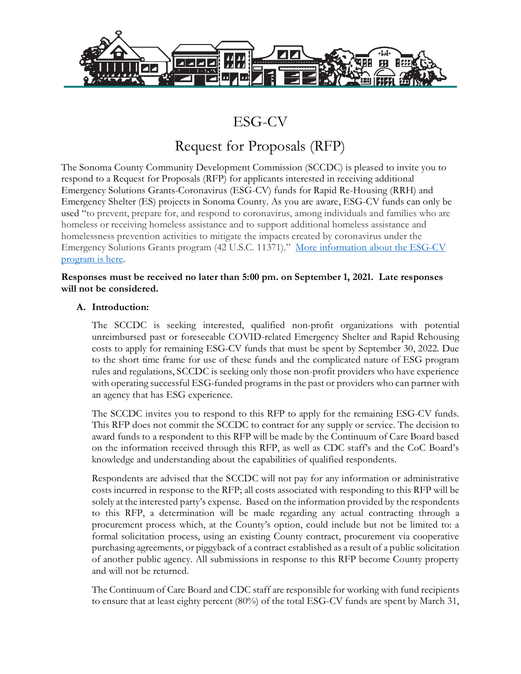

# ESG-CV

# Request for Proposals (RFP)

The Sonoma County Community Development Commission (SCCDC) is pleased to invite you to respond to a Request for Proposals (RFP) for applicants interested in receiving additional Emergency Solutions Grants-Coronavirus (ESG-CV) funds for Rapid Re-Housing (RRH) and Emergency Shelter (ES) projects in Sonoma County. As you are aware, ESG-CV funds can only be used "to prevent, prepare for, and respond to coronavirus, among individuals and families who are homeless or receiving homeless assistance and to support additional homeless assistance and homelessness prevention activities to mitigate the impacts created by coronavirus under the Emergency Solutions Grants program (42 U.S.C. 11371)." More information about the ESG-CV [program is here.](https://www.hudexchange.info/programs/esg/esg-cv/#program-requirements)

#### **Responses must be received no later than 5:00 pm. on September 1, 2021. Late responses will not be considered.**

## **A. Introduction:**

The SCCDC is seeking interested, qualified non-profit organizations with potential unreimbursed past or foreseeable COVID-related Emergency Shelter and Rapid Rehousing costs to apply for remaining ESG-CV funds that must be spent by September 30, 2022. Due to the short time frame for use of these funds and the complicated nature of ESG program rules and regulations, SCCDC is seeking only those non-profit providers who have experience with operating successful ESG-funded programs in the past or providers who can partner with an agency that has ESG experience.

The SCCDC invites you to respond to this RFP to apply for the remaining ESG-CV funds. This RFP does not commit the SCCDC to contract for any supply or service. The decision to award funds to a respondent to this RFP will be made by the Continuum of Care Board based on the information received through this RFP, as well as CDC staff's and the CoC Board's knowledge and understanding about the capabilities of qualified respondents.

Respondents are advised that the SCCDC will not pay for any information or administrative costs incurred in response to the RFP; all costs associated with responding to this RFP will be solely at the interested party's expense. Based on the information provided by the respondents to this RFP, a determination will be made regarding any actual contracting through a procurement process which, at the County's option, could include but not be limited to: a formal solicitation process, using an existing County contract, procurement via cooperative purchasing agreements, or piggyback of a contract established as a result of a public solicitation of another public agency. All submissions in response to this RFP become County property and will not be returned.

The Continuum of Care Board and CDC staff are responsible for working with fund recipients to ensure that at least eighty percent (80%) of the total ESG-CV funds are spent by March 31,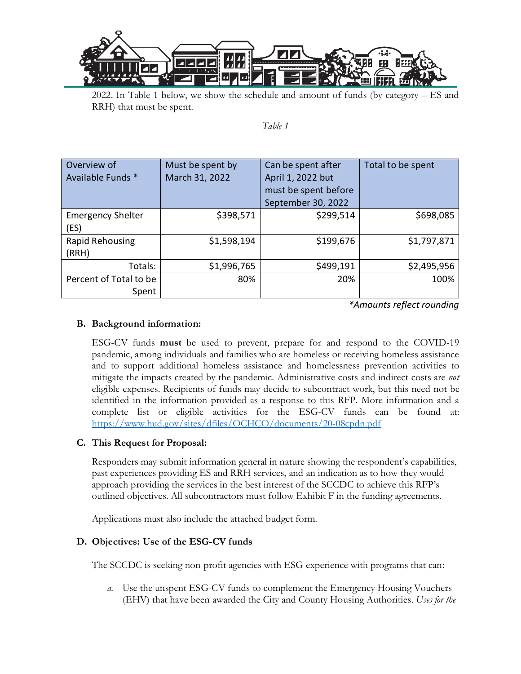

2022. In Table 1 below, we show the schedule and amount of funds (by category – ES and RRH) that must be spent.

#### *Table 1*

| Overview of<br>Available Funds * | Must be spent by<br>March 31, 2022 | Can be spent after<br>April 1, 2022 but<br>must be spent before<br>September 30, 2022 | Total to be spent |
|----------------------------------|------------------------------------|---------------------------------------------------------------------------------------|-------------------|
| <b>Emergency Shelter</b><br>(ES) | \$398,571                          | \$299,514                                                                             | \$698,085         |
| <b>Rapid Rehousing</b><br>(RRH)  | \$1,598,194                        | \$199,676                                                                             | \$1,797,871       |
| Totals:                          | \$1,996,765                        | \$499,191                                                                             | \$2,495,956       |
| Percent of Total to be<br>Spent  | 80%                                | 20%                                                                                   | 100%              |

*\*Amounts reflect rounding*

## **B. Background information:**

ESG-CV funds **must** be used to prevent, prepare for and respond to the COVID-19 pandemic, among individuals and families who are homeless or receiving homeless assistance and to support additional homeless assistance and homelessness prevention activities to mitigate the impacts created by the pandemic. Administrative costs and indirect costs are *not*  eligible expenses. Recipients of funds may decide to subcontract work, but this need not be identified in the information provided as a response to this RFP. More information and a complete list or eligible activities for the ESG-CV funds can be found at: <https://www.hud.gov/sites/dfiles/OCHCO/documents/20-08cpdn.pdf>

# **C. This Request for Proposal:**

Responders may submit information general in nature showing the respondent's capabilities, past experiences providing ES and RRH services, and an indication as to how they would approach providing the services in the best interest of the SCCDC to achieve this RFP's outlined objectives. All subcontractors must follow Exhibit F in the funding agreements.

Applications must also include the attached budget form.

# **D. Objectives: Use of the ESG-CV funds**

The SCCDC is seeking non-profit agencies with ESG experience with programs that can:

*a.* Use the unspent ESG-CV funds to complement the Emergency Housing Vouchers (EHV) that have been awarded the City and County Housing Authorities. *Uses for the*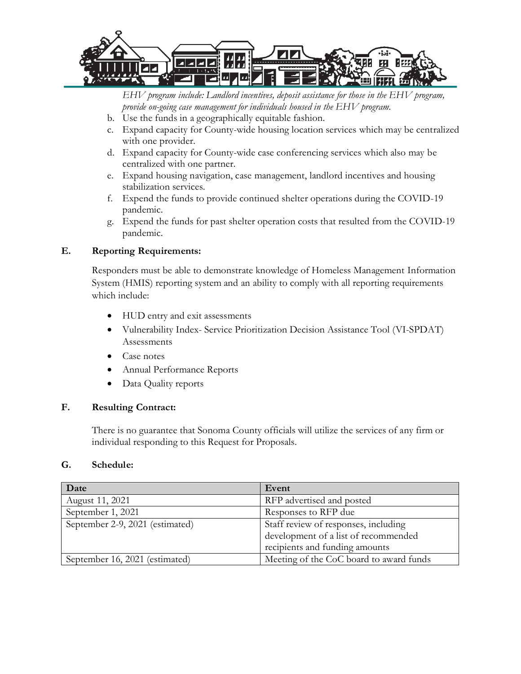

*EHV program include: Landlord incentives, deposit assistance for those in the EHV program, provide on-going case management for individuals housed in the EHV program.* 

- b. Use the funds in a geographically equitable fashion.
- c. Expand capacity for County-wide housing location services which may be centralized with one provider.
- d. Expand capacity for County-wide case conferencing services which also may be centralized with one partner.
- e. Expand housing navigation, case management, landlord incentives and housing stabilization services.
- f. Expend the funds to provide continued shelter operations during the COVID-19 pandemic.
- g. Expend the funds for past shelter operation costs that resulted from the COVID-19 pandemic.

## **E. Reporting Requirements:**

Responders must be able to demonstrate knowledge of Homeless Management Information System (HMIS) reporting system and an ability to comply with all reporting requirements which include:

- HUD entry and exit assessments
- Vulnerability Index- Service Prioritization Decision Assistance Tool (VI-SPDAT) Assessments
- Case notes
- Annual Performance Reports
- Data Quality reports

#### **F. Resulting Contract:**

There is no guarantee that Sonoma County officials will utilize the services of any firm or individual responding to this Request for Proposals.

#### **G. Schedule:**

| Date                            | Event                                   |
|---------------------------------|-----------------------------------------|
| August 11, 2021                 | RFP advertised and posted               |
| September 1, 2021               | Responses to RFP due                    |
| September 2-9, 2021 (estimated) | Staff review of responses, including    |
|                                 | development of a list of recommended    |
|                                 | recipients and funding amounts          |
| September 16, 2021 (estimated)  | Meeting of the CoC board to award funds |